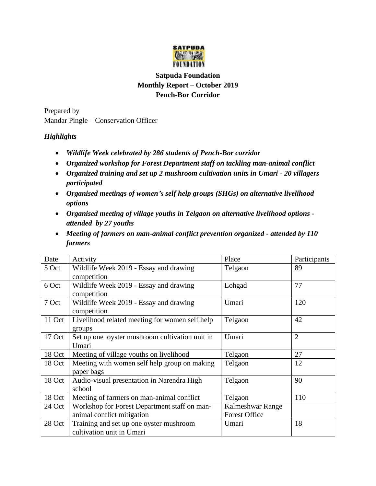

## **Satpuda Foundation Monthly Report – October 2019 Pench-Bor Corridor**

Prepared by Mandar Pingle – Conservation Officer

## *Highlights*

- *Wildlife Week celebrated by 286 students of Pench-Bor corridor*
- *Organized workshop for Forest Department staff on tackling man-animal conflict*
- *Organized training and set up 2 mushroom cultivation units in Umari - 20 villagers participated*
- *Organised meetings of women's self help groups (SHGs) on alternative livelihood options*
- *Organised meeting of village youths in Telgaon on alternative livelihood options attended by 27 youths*
- *Meeting of farmers on man-animal conflict prevention organized - attended by 110 farmers*

| Date   | Activity                                       | Place                | Participants   |
|--------|------------------------------------------------|----------------------|----------------|
| 5 Oct  | Wildlife Week 2019 - Essay and drawing         | Telgaon              | 89             |
|        | competition                                    |                      |                |
| 6 Oct  | Wildlife Week 2019 - Essay and drawing         | Lohgad               | 77             |
|        | competition                                    |                      |                |
| 7 Oct  | Wildlife Week 2019 - Essay and drawing         | Umari                | 120            |
|        | competition                                    |                      |                |
| 11 Oct | Livelihood related meeting for women self help | Telgaon              | 42             |
|        | groups                                         |                      |                |
| 17 Oct | Set up one oyster mushroom cultivation unit in | Umari                | $\overline{2}$ |
|        | Umari                                          |                      |                |
| 18 Oct | Meeting of village youths on livelihood        | Telgaon              | 27             |
| 18 Oct | Meeting with women self help group on making   | Telgaon              | 12             |
|        | paper bags                                     |                      |                |
| 18 Oct | Audio-visual presentation in Narendra High     | Telgaon              | 90             |
|        | school                                         |                      |                |
| 18 Oct | Meeting of farmers on man-animal conflict      | Telgaon              | 110            |
| 24 Oct | Workshop for Forest Department staff on man-   | Kalmeshwar Range     |                |
|        | animal conflict mitigation                     | <b>Forest Office</b> |                |
| 28 Oct | Training and set up one oyster mushroom        | Umari                | 18             |
|        | cultivation unit in Umari                      |                      |                |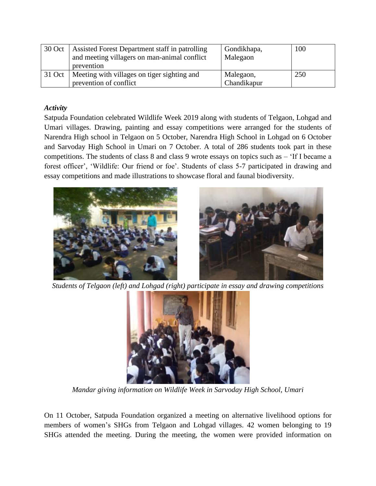| 30 Oct | Assisted Forest Department staff in patrolling<br>and meeting villagers on man-animal conflict<br>prevention | Gondikhapa,<br>Malegaon  | 100 |
|--------|--------------------------------------------------------------------------------------------------------------|--------------------------|-----|
| 31 Oct | Meeting with villages on tiger sighting and<br>prevention of conflict                                        | Malegaon,<br>Chandikapur | 250 |

## *Activity*

Satpuda Foundation celebrated Wildlife Week 2019 along with students of Telgaon, Lohgad and Umari villages. Drawing, painting and essay competitions were arranged for the students of Narendra High school in Telgaon on 5 October, Narendra High School in Lohgad on 6 October and Sarvoday High School in Umari on 7 October. A total of 286 students took part in these competitions. The students of class 8 and class 9 wrote essays on topics such as – 'If I became a forest officer', 'Wildlife: Our friend or foe'. Students of class 5-7 participated in drawing and essay competitions and made illustrations to showcase floral and faunal biodiversity.



*Students of Telgaon (left) and Lohgad (right) participate in essay and drawing competitions*



*Mandar giving information on Wildlife Week in Sarvoday High School, Umari*

On 11 October, Satpuda Foundation organized a meeting on alternative livelihood options for members of women's SHGs from Telgaon and Lohgad villages. 42 women belonging to 19 SHGs attended the meeting. During the meeting, the women were provided information on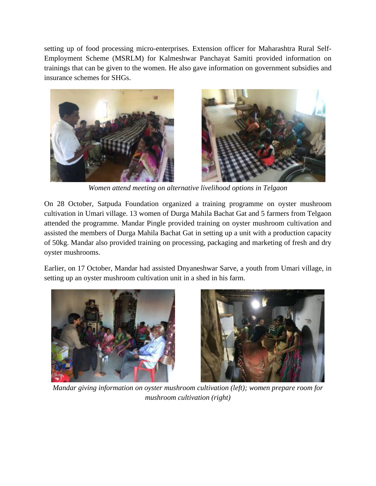setting up of food processing micro-enterprises. Extension officer for Maharashtra Rural Self-Employment Scheme (MSRLM) for Kalmeshwar Panchayat Samiti provided information on trainings that can be given to the women. He also gave information on government subsidies and insurance schemes for SHGs.





*Women attend meeting on alternative livelihood options in Telgaon*

On 28 October, Satpuda Foundation organized a training programme on oyster mushroom cultivation in Umari village. 13 women of Durga Mahila Bachat Gat and 5 farmers from Telgaon attended the programme. Mandar Pingle provided training on oyster mushroom cultivation and assisted the members of Durga Mahila Bachat Gat in setting up a unit with a production capacity of 50kg. Mandar also provided training on processing, packaging and marketing of fresh and dry oyster mushrooms.

Earlier, on 17 October, Mandar had assisted Dnyaneshwar Sarve, a youth from Umari village, in setting up an oyster mushroom cultivation unit in a shed in his farm.





*Mandar giving information on oyster mushroom cultivation (left); women prepare room for mushroom cultivation (right)*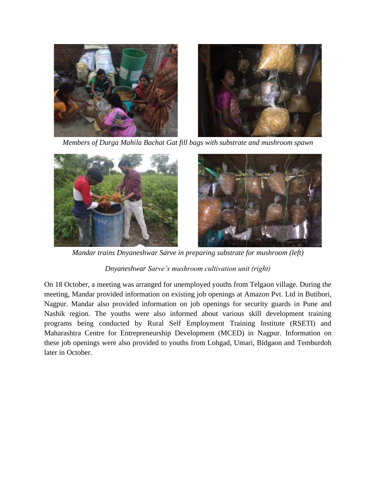

*Members of Durga Mahila Bachat Gat fill bags with substrate and mushroom spawn*



*Mandar trains Dnyaneshwar Sarve in preparing substrate for mushroom (left)* 

## *Dnyaneshwar Sarve's mushroom cultivation unit (right)*

On 18 October, a meeting was arranged for unemployed youths from Telgaon village. During the meeting, Mandar provided information on existing job openings at Amazon Pvt. Ltd in Butibori, Nagpur. Mandar also provided information on job openings for security guards in Pune and Nashik region. The youths were also informed about various skill development training programs being conducted by Rural Self Employment Training Institute (RSETI) and Maharashtra Centre for Entrepreneurship Development (MCED) in Nagpur. Information on these job openings were also provided to youths from Lohgad, Umari, Bidgaon and Temburdoh later in October.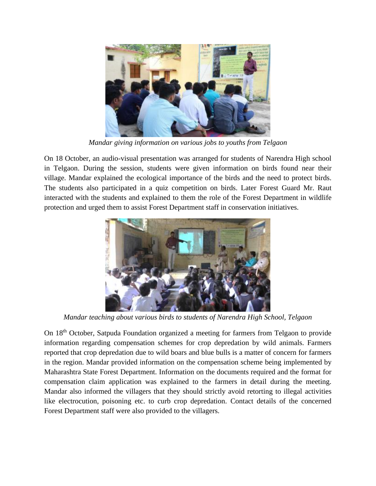

*Mandar giving information on various jobs to youths from Telgaon*

On 18 October, an audio-visual presentation was arranged for students of Narendra High school in Telgaon. During the session, students were given information on birds found near their village. Mandar explained the ecological importance of the birds and the need to protect birds. The students also participated in a quiz competition on birds. Later Forest Guard Mr. Raut interacted with the students and explained to them the role of the Forest Department in wildlife protection and urged them to assist Forest Department staff in conservation initiatives.



*Mandar teaching about various birds to students of Narendra High School, Telgaon*

On 18th October, Satpuda Foundation organized a meeting for farmers from Telgaon to provide information regarding compensation schemes for crop depredation by wild animals. Farmers reported that crop depredation due to wild boars and blue bulls is a matter of concern for farmers in the region. Mandar provided information on the compensation scheme being implemented by Maharashtra State Forest Department. Information on the documents required and the format for compensation claim application was explained to the farmers in detail during the meeting. Mandar also informed the villagers that they should strictly avoid retorting to illegal activities like electrocution, poisoning etc. to curb crop depredation. Contact details of the concerned Forest Department staff were also provided to the villagers.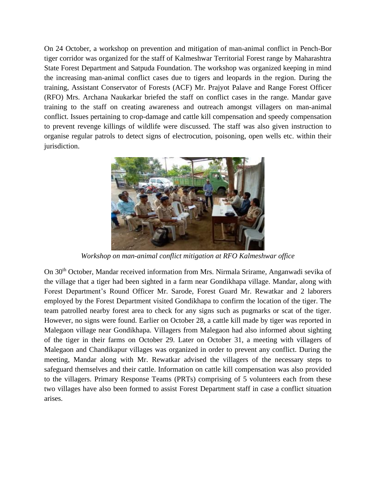On 24 October, a workshop on prevention and mitigation of man-animal conflict in Pench-Bor tiger corridor was organized for the staff of Kalmeshwar Territorial Forest range by Maharashtra State Forest Department and Satpuda Foundation. The workshop was organized keeping in mind the increasing man-animal conflict cases due to tigers and leopards in the region. During the training, Assistant Conservator of Forests (ACF) Mr. Prajyot Palave and Range Forest Officer (RFO) Mrs. Archana Naukarkar briefed the staff on conflict cases in the range. Mandar gave training to the staff on creating awareness and outreach amongst villagers on man-animal conflict. Issues pertaining to crop-damage and cattle kill compensation and speedy compensation to prevent revenge killings of wildlife were discussed. The staff was also given instruction to organise regular patrols to detect signs of electrocution, poisoning, open wells etc. within their jurisdiction.



*Workshop on man-animal conflict mitigation at RFO Kalmeshwar office*

On 30th October, Mandar received information from Mrs. Nirmala Srirame, Anganwadi sevika of the village that a tiger had been sighted in a farm near Gondikhapa village. Mandar, along with Forest Department's Round Officer Mr. Sarode, Forest Guard Mr. Rewatkar and 2 laborers employed by the Forest Department visited Gondikhapa to confirm the location of the tiger. The team patrolled nearby forest area to check for any signs such as pugmarks or scat of the tiger. However, no signs were found. Earlier on October 28, a cattle kill made by tiger was reported in Malegaon village near Gondikhapa. Villagers from Malegaon had also informed about sighting of the tiger in their farms on October 29. Later on October 31, a meeting with villagers of Malegaon and Chandikapur villages was organized in order to prevent any conflict. During the meeting, Mandar along with Mr. Rewatkar advised the villagers of the necessary steps to safeguard themselves and their cattle. Information on cattle kill compensation was also provided to the villagers. Primary Response Teams (PRTs) comprising of 5 volunteers each from these two villages have also been formed to assist Forest Department staff in case a conflict situation arises.